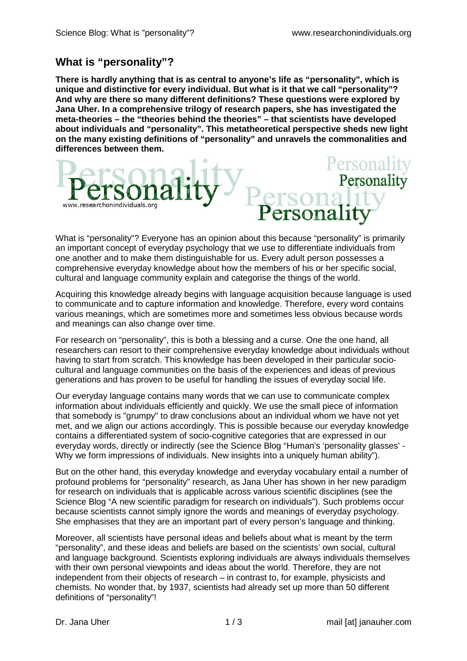Personality

## **What is "personality"?**

**There is hardly anything that is as central to anyone's life as "personality", which is unique and distinctive for every individual. But what is it that we call "personality"? And why are there so many different definitions? These questions were explored by Jana Uher. In a comprehensive trilogy of research papers, she has investigated the meta-theories – the "theories behind the theories" – that scientists have developed about individuals and "personality". This metatheoretical perspective sheds new light on the many existing definitions of "personality" and unravels the commonalities and differences between them.** 



What is "personality"? Everyone has an opinion about this because "personality" is primarily an important concept of everyday psychology that we use to differentiate individuals from one another and to make them distinguishable for us. Every adult person possesses a comprehensive everyday knowledge about how the members of his or her specific social, cultural and language community explain and categorise the things of the world.

Acquiring this knowledge already begins with language acquisition because language is used to communicate and to capture information and knowledge. Therefore, every word contains various meanings, which are sometimes more and sometimes less obvious because words and meanings can also change over time.

For research on "personality", this is both a blessing and a curse. One the one hand, all researchers can resort to their comprehensive everyday knowledge about individuals without having to start from scratch. This knowledge has been developed in their particular sociocultural and language communities on the basis of the experiences and ideas of previous generations and has proven to be useful for handling the issues of everyday social life.

Our everyday language contains many words that we can use to communicate complex information about individuals efficiently and quickly. We use the small piece of information that somebody is "grumpy" to draw conclusions about an individual whom we have not yet met, and we align our actions accordingly. This is possible because our everyday knowledge contains a differentiated system of socio-cognitive categories that are expressed in our everyday words, directly or indirectly (see the Science Blog "Human's 'personality glasses' - Why we form impressions of individuals. New insights into a uniquely human ability").

But on the other hand, this everyday knowledge and everyday vocabulary entail a number of profound problems for "personality" research, as Jana Uher has shown in her new paradigm for research on individuals that is applicable across various scientific disciplines (see the Science Blog "A new scientific paradigm for research on individuals"). Such problems occur because scientists cannot simply ignore the words and meanings of everyday psychology. She emphasises that they are an important part of every person's language and thinking.

Moreover, all scientists have personal ideas and beliefs about what is meant by the term "personality", and these ideas and beliefs are based on the scientists' own social, cultural and language background. Scientists exploring individuals are always individuals themselves with their own personal viewpoints and ideas about the world. Therefore, they are not independent from their objects of research – in contrast to, for example, physicists and chemists. No wonder that, by 1937, scientists had already set up more than 50 different definitions of "personality"!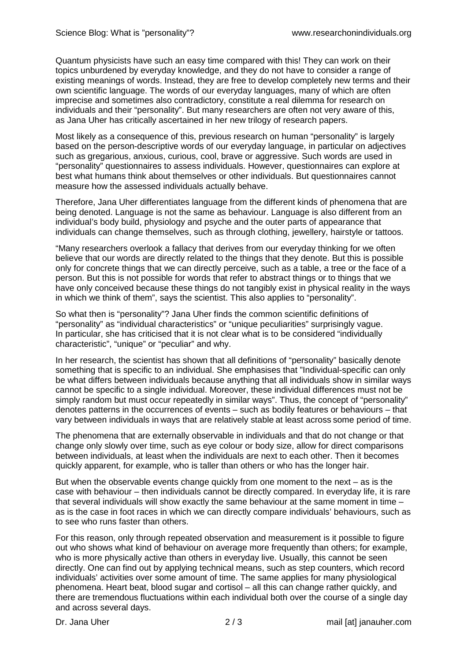Quantum physicists have such an easy time compared with this! They can work on their topics unburdened by everyday knowledge, and they do not have to consider a range of existing meanings of words. Instead, they are free to develop completely new terms and their own scientific language. The words of our everyday languages, many of which are often imprecise and sometimes also contradictory, constitute a real dilemma for research on individuals and their "personality". But many researchers are often not very aware of this, as Jana Uher has critically ascertained in her new trilogy of research papers.

Most likely as a consequence of this, previous research on human "personality" is largely based on the person-descriptive words of our everyday language, in particular on adjectives such as gregarious, anxious, curious, cool, brave or aggressive. Such words are used in "personality" questionnaires to assess individuals. However, questionnaires can explore at best what humans think about themselves or other individuals. But questionnaires cannot measure how the assessed individuals actually behave.

Therefore, Jana Uher differentiates language from the different kinds of phenomena that are being denoted. Language is not the same as behaviour. Language is also different from an individual's body build, physiology and psyche and the outer parts of appearance that individuals can change themselves, such as through clothing, jewellery, hairstyle or tattoos.

"Many researchers overlook a fallacy that derives from our everyday thinking for we often believe that our words are directly related to the things that they denote. But this is possible only for concrete things that we can directly perceive, such as a table, a tree or the face of a person. But this is not possible for words that refer to abstract things or to things that we have only conceived because these things do not tangibly exist in physical reality in the ways in which we think of them", says the scientist. This also applies to "personality".

So what then is "personality"? Jana Uher finds the common scientific definitions of "personality" as "individual characteristics" or "unique peculiarities" surprisingly vague. In particular, she has criticised that it is not clear what is to be considered "individually characteristic", "unique" or "peculiar" and why.

In her research, the scientist has shown that all definitions of "personality" basically denote something that is specific to an individual. She emphasises that "Individual-specific can only be what differs between individuals because anything that all individuals show in similar ways cannot be specific to a single individual. Moreover, these individual differences must not be simply random but must occur repeatedly in similar ways". Thus, the concept of "personality" denotes patterns in the occurrences of events – such as bodily features or behaviours – that vary between individuals in ways that are relatively stable at least across some period of time.

The phenomena that are externally observable in individuals and that do not change or that change only slowly over time, such as eye colour or body size, allow for direct comparisons between individuals, at least when the individuals are next to each other. Then it becomes quickly apparent, for example, who is taller than others or who has the longer hair.

But when the observable events change quickly from one moment to the next – as is the case with behaviour – then individuals cannot be directly compared. In everyday life, it is rare that several individuals will show exactly the same behaviour at the same moment in time – as is the case in foot races in which we can directly compare individuals' behaviours, such as to see who runs faster than others.

For this reason, only through repeated observation and measurement is it possible to figure out who shows what kind of behaviour on average more frequently than others; for example, who is more physically active than others in everyday live. Usually, this cannot be seen directly. One can find out by applying technical means, such as step counters, which record individuals' activities over some amount of time. The same applies for many physiological phenomena. Heart beat, blood sugar and cortisol – all this can change rather quickly, and there are tremendous fluctuations within each individual both over the course of a single day and across several days.